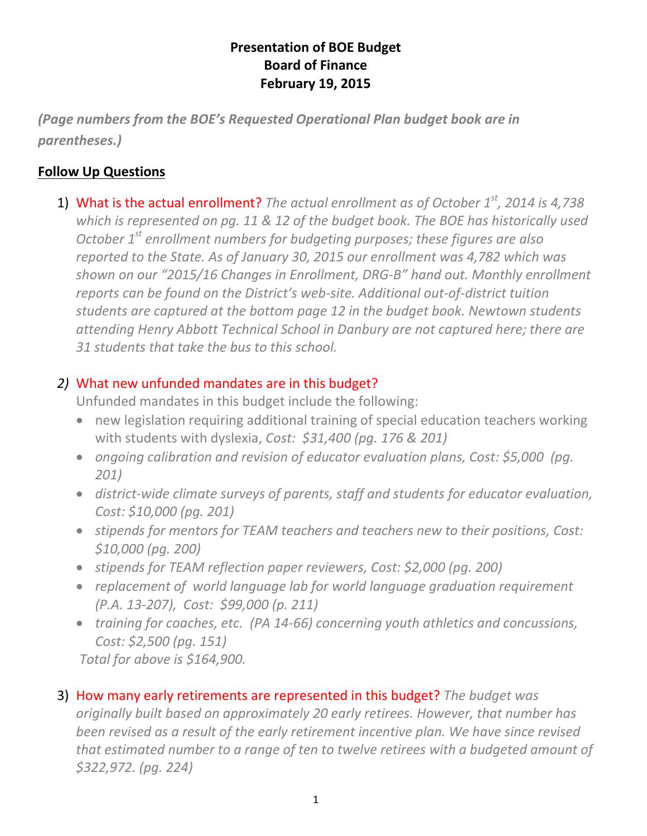### **Presentation of BOE Budget Board of Finance February 19, 2015**

*(Page numbers from the BOE's Requested Operational Plan budget book are in parentheses.)*

## **Follow Up Questions**

1) What is the actual enrollment? *The actual enrollment as of October 1st, 2014 is 4,738 which is represented on pg. 11 & 12 of the budget book. The BOE has historically used October 1st enrollment numbers for budgeting purposes; these figures are also reported to the State. As of January 30, 2015 our enrollment was 4,782 which was shown on our "2015/16 Changes in Enrollment, DRG-B" hand out. Monthly enrollment reports can be found on the District's web-site. Additional out-of-district tuition students are captured at the bottom page 12 in the budget book. Newtown students attending Henry Abbott Technical School in Danbury are not captured here; there are 31 students that take the bus to this school.*

# *2)* What new unfunded mandates are in this budget?

Unfunded mandates in this budget include the following:

- new legislation requiring additional training of special education teachers working with students with dyslexia, *Cost: \$31,400 (pg. 176 & 201)*
- *ongoing calibration and revision of educator evaluation plans, Cost: \$5,000 (pg. 201)*
- *district-wide climate surveys of parents, staff and students for educator evaluation, Cost: \$10,000 (pg. 201)*
- *stipends for mentors for TEAM teachers and teachers new to their positions, Cost: \$10,000 (pg. 200)*
- *stipends for TEAM reflection paper reviewers, Cost: \$2,000 (pg. 200)*
- *replacement of world language lab for world language graduation requirement (P.A. 13-207), Cost: \$99,000 (p. 211)*
- *training for coaches, etc. (PA 14-66) concerning youth athletics and concussions, Cost: \$2,500 (pg. 151)*

*Total for above is \$164,900.*

3) How many early retirements are represented in this budget? *The budget was* 

*originally built based on approximately 20 early retirees. However, that number has been revised as a result of the early retirement incentive plan. We have since revised that estimated number to a range of ten to twelve retirees with a budgeted amount of \$322,972. (pg. 224)*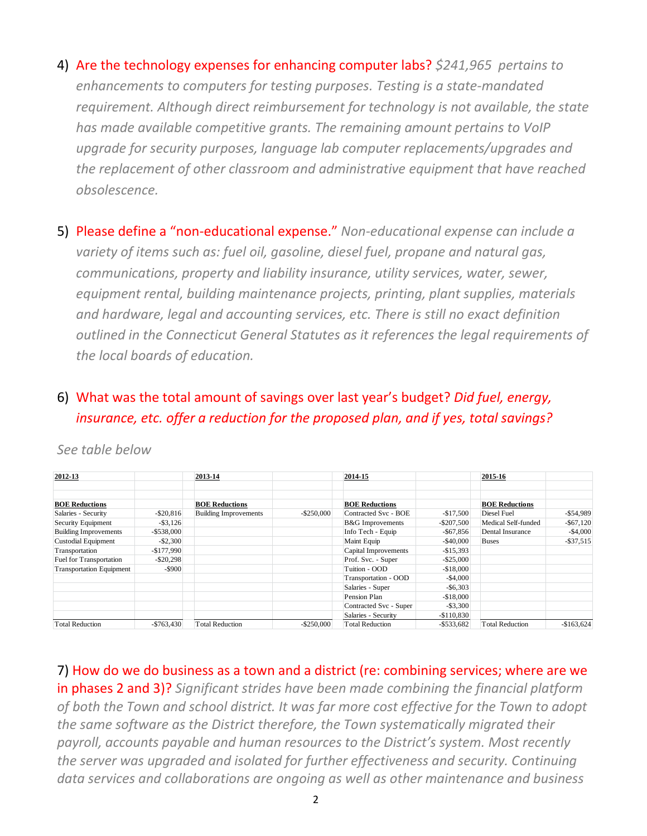- 4) Are the technology expenses for enhancing computer labs? *\$241,965 pertains to enhancements to computers for testing purposes. Testing is a state-mandated requirement. Although direct reimbursement for technology is not available, the state has made available competitive grants. The remaining amount pertains to VoIP upgrade for security purposes, language lab computer replacements/upgrades and the replacement of other classroom and administrative equipment that have reached obsolescence.*
- 5) Please define a "non-educational expense." *Non-educational expense can include a variety of items such as: fuel oil, gasoline, diesel fuel, propane and natural gas, communications, property and liability insurance, utility services, water, sewer, equipment rental, building maintenance projects, printing, plant supplies, materials and hardware, legal and accounting services, etc. There is still no exact definition outlined in the Connecticut General Statutes as it references the legal requirements of the local boards of education.*

## 6) What was the total amount of savings over last year's budget? *Did fuel, energy, insurance, etc. offer a reduction for the proposed plan, and if yes, total savings?*

| 2012-13                         |               | 2013-14                      |               | 2014-15                     |               | 2015-16                |              |
|---------------------------------|---------------|------------------------------|---------------|-----------------------------|---------------|------------------------|--------------|
|                                 |               |                              |               |                             |               |                        |              |
| <b>BOE Reductions</b>           |               | <b>BOE Reductions</b>        |               | <b>BOE Reductions</b>       |               | <b>BOE Reductions</b>  |              |
| Salaries - Security             | $-$ \$20,816  | <b>Building Improvements</b> | $-$ \$250,000 | Contracted Svc - BOE        | $-$17,500$    | Diesel Fuel            | $-$ \$54,989 |
| Security Equipment              | $-$ \$3,126   |                              |               | <b>B&amp;G</b> Improvements | $-$ \$207,500 | Medical Self-funded    | $-$ \$67,120 |
| <b>Building Improvements</b>    | $-$ \$538,000 |                              |               | Info Tech - Equip           | $-$ \$67,856  | Dental Insurance       | $-$4,000$    |
| <b>Custodial Equipment</b>      | $-$ \$2,300   |                              |               | Maint Equip                 | $-$ \$40,000  | <b>Buses</b>           | $-$ \$37,515 |
| Transportation                  | $-$177,990$   |                              |               | Capital Improvements        | $-$15,393$    |                        |              |
| Fuel for Transportation         | $-$ \$20,298  |                              |               | Prof. Svc. - Super          | $-$ \$25,000  |                        |              |
| <b>Transportation Equipment</b> | $-$ \$900     |                              |               | Tuition - OOD               | $-$18,000$    |                        |              |
|                                 |               |                              |               | Transportation - OOD        | $-$ \$4,000   |                        |              |
|                                 |               |                              |               | Salaries - Super            | $-$ \$6,303   |                        |              |
|                                 |               |                              |               | Pension Plan                | $-$18,000$    |                        |              |
|                                 |               |                              |               | Contracted Svc - Super      | $-$ \$3,300   |                        |              |
|                                 |               |                              |               | Salaries - Security         | $-$110,830$   |                        |              |
| <b>Total Reduction</b>          | $-$763.430$   | <b>Total Reduction</b>       | $-$ \$250,000 | <b>Total Reduction</b>      | $-$ \$533,682 | <b>Total Reduction</b> | $-$163.624$  |

*See table below*

7) How do we do business as a town and a district (re: combining services; where are we in phases 2 and 3)? *Significant strides have been made combining the financial platform of both the Town and school district. It was far more cost effective for the Town to adopt the same software as the District therefore, the Town systematically migrated their payroll, accounts payable and human resources to the District's system. Most recently the server was upgraded and isolated for further effectiveness and security. Continuing data services and collaborations are ongoing as well as other maintenance and business*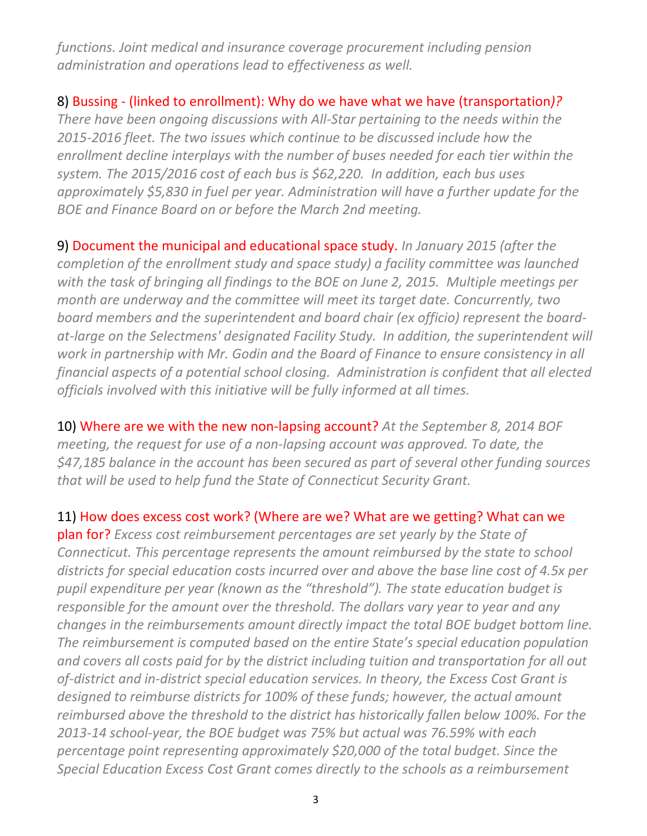*functions. Joint medical and insurance coverage procurement including pension administration and operations lead to effectiveness as well.* 

8) Bussing - (linked to enrollment): Why do we have what we have (transportation*)?* 

*There have been ongoing discussions with All-Star pertaining to the needs within the 2015-2016 fleet. The two issues which continue to be discussed include how the enrollment decline interplays with the number of buses needed for each tier within the system. The 2015/2016 cost of each bus is \$62,220. In addition, each bus uses approximately \$5,830 in fuel per year. Administration will have a further update for the BOE and Finance Board on or before the March 2nd meeting.* 

9) Document the municipal and educational space study. *In January 2015 (after the completion of the enrollment study and space study) a facility committee was launched with the task of bringing all findings to the BOE on June 2, 2015. Multiple meetings per month are underway and the committee will meet its target date. Concurrently, two board members and the superintendent and board chair (ex officio) represent the boardat-large on the Selectmens' designated Facility Study. In addition, the superintendent will work in partnership with Mr. Godin and the Board of Finance to ensure consistency in all financial aspects of a potential school closing. Administration is confident that all elected officials involved with this initiative will be fully informed at all times.* 

10) Where are we with the new non-lapsing account? *At the September 8, 2014 BOF meeting, the request for use of a non-lapsing account was approved. To date, the \$47,185 balance in the account has been secured as part of several other funding sources that will be used to help fund the State of Connecticut Security Grant.* 

11) How does excess cost work? (Where are we? What are we getting? What can we

plan for? *Excess cost reimbursement percentages are set yearly by the State of Connecticut. This percentage represents the amount reimbursed by the state to school districts for special education costs incurred over and above the base line cost of 4.5x per pupil expenditure per year (known as the "threshold"). The state education budget is responsible for the amount over the threshold. The dollars vary year to year and any changes in the reimbursements amount directly impact the total BOE budget bottom line. The reimbursement is computed based on the entire State's special education population and covers all costs paid for by the district including tuition and transportation for all out of-district and in-district special education services. In theory, the Excess Cost Grant is designed to reimburse districts for 100% of these funds; however, the actual amount reimbursed above the threshold to the district has historically fallen below 100%. For the 2013-14 school-year, the BOE budget was 75% but actual was 76.59% with each percentage point representing approximately \$20,000 of the total budget. Since the Special Education Excess Cost Grant comes directly to the schools as a reimbursement*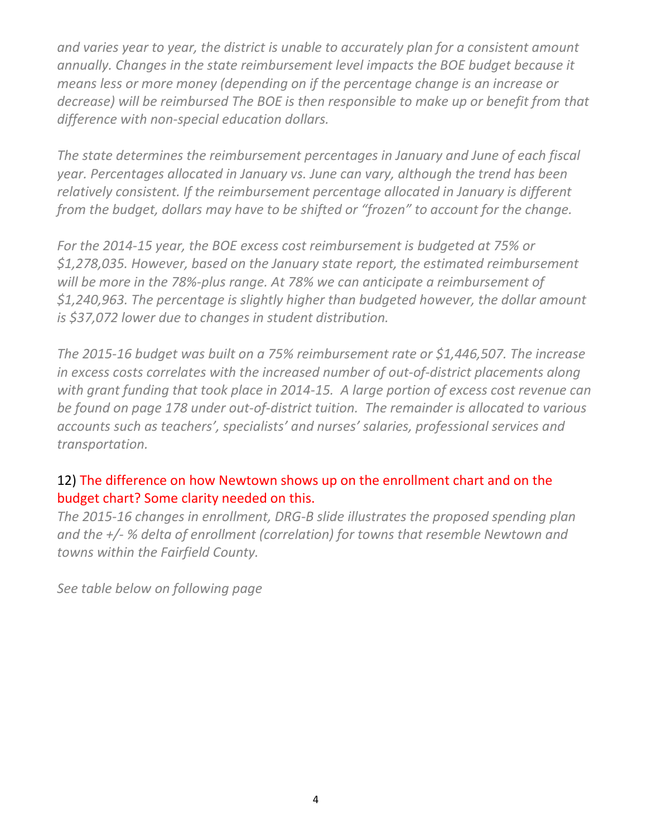*and varies year to year, the district is unable to accurately plan for a consistent amount annually. Changes in the state reimbursement level impacts the BOE budget because it means less or more money (depending on if the percentage change is an increase or decrease) will be reimbursed The BOE is then responsible to make up or benefit from that difference with non-special education dollars.* 

*The state determines the reimbursement percentages in January and June of each fiscal year. Percentages allocated in January vs. June can vary, although the trend has been relatively consistent. If the reimbursement percentage allocated in January is different from the budget, dollars may have to be shifted or "frozen" to account for the change.*

*For the 2014-15 year, the BOE excess cost reimbursement is budgeted at 75% or \$1,278,035. However, based on the January state report, the estimated reimbursement will be more in the 78%-plus range. At 78% we can anticipate a reimbursement of \$1,240,963. The percentage is slightly higher than budgeted however, the dollar amount is \$37,072 lower due to changes in student distribution.* 

*The 2015-16 budget was built on a 75% reimbursement rate or \$1,446,507. The increase in excess costs correlates with the increased number of out-of-district placements along with grant funding that took place in 2014-15. A large portion of excess cost revenue can be found on page 178 under out-of-district tuition. The remainder is allocated to various accounts such as teachers', specialists' and nurses' salaries, professional services and transportation.* 

## 12) The difference on how Newtown shows up on the enrollment chart and on the budget chart? Some clarity needed on this.

*The 2015-16 changes in enrollment, DRG-B slide illustrates the proposed spending plan and the +/- % delta of enrollment (correlation) for towns that resemble Newtown and towns within the Fairfield County.*

*See table below on following page*